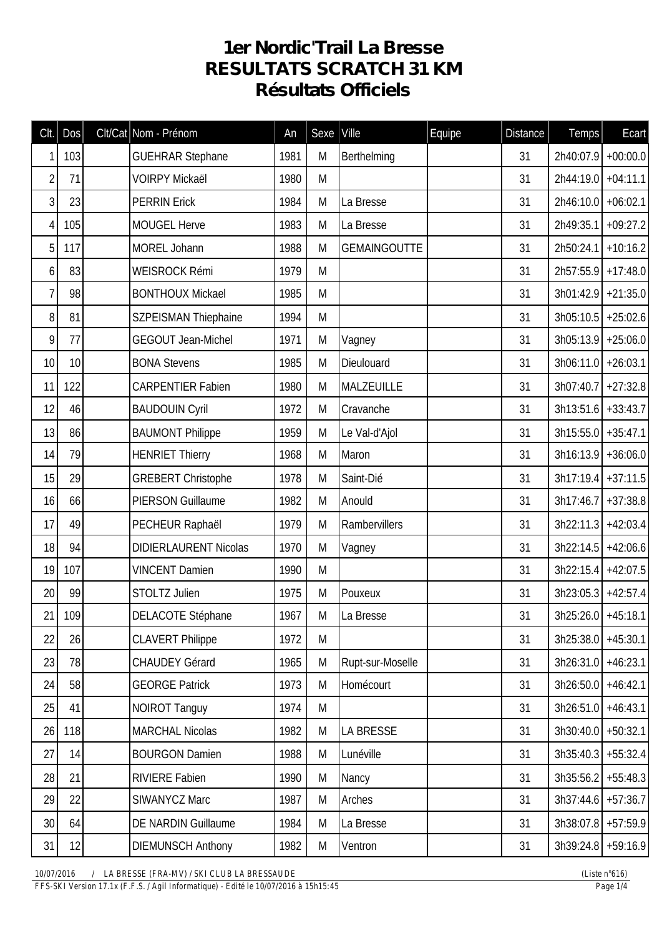## **1er Nordic'Trail La Bresse RESULTATS SCRATCH 31 KM Résultats Officiels**

| Clt.           | Dos | Clt/Cat Nom - Prénom         | An   | Sexe | Ville               | Equipe | <b>Distance</b> | Temps                 | Ecart      |
|----------------|-----|------------------------------|------|------|---------------------|--------|-----------------|-----------------------|------------|
| 1              | 103 | <b>GUEHRAR Stephane</b>      | 1981 | M    | Berthelming         |        | 31              | 2h40:07.9             | $+00:00.0$ |
| $\overline{2}$ | 71  | <b>VOIRPY Mickaël</b>        | 1980 | M    |                     |        | 31              | 2h44:19.0 +04:11.1    |            |
| $\mathfrak{Z}$ | 23  | <b>PERRIN Erick</b>          | 1984 | M    | La Bresse           |        | 31              | 2h46:10.0             | $+06:02.1$ |
| $\overline{4}$ | 105 | <b>MOUGEL Herve</b>          | 1983 | M    | La Bresse           |        | 31              | 2h49:35.1             | $+09:27.2$ |
| 5              | 117 | MOREL Johann                 | 1988 | M    | <b>GEMAINGOUTTE</b> |        | 31              | $2h50:24.1$ +10:16.2  |            |
| 6              | 83  | WEISROCK Rémi                | 1979 | M    |                     |        | 31              | $2h57:55.9$ +17:48.0  |            |
| 7              | 98  | <b>BONTHOUX Mickael</b>      | 1985 | M    |                     |        | 31              | $3h01:42.9$ +21:35.0  |            |
| 8              | 81  | <b>SZPEISMAN Thiephaine</b>  | 1994 | M    |                     |        | 31              | $3h05:10.5$ +25:02.6  |            |
| 9              | 77  | <b>GEGOUT Jean-Michel</b>    | 1971 | M    | Vagney              |        | 31              | $3h05:13.9$ +25:06.0  |            |
| 10             | 10  | <b>BONA Stevens</b>          | 1985 | M    | Dieulouard          |        | 31              | $3h06:11.0$ +26:03.1  |            |
| 11             | 122 | <b>CARPENTIER Fabien</b>     | 1980 | M    | MALZEUILLE          |        | 31              | $3h07:40.7$ +27:32.8  |            |
| 12             | 46  | <b>BAUDOUIN Cyril</b>        | 1972 | M    | Cravanche           |        | 31              | $3h13:51.6$ + 33:43.7 |            |
| 13             | 86  | <b>BAUMONT Philippe</b>      | 1959 | M    | Le Val-d'Ajol       |        | 31              | $3h15:55.0$ + 35:47.1 |            |
| 14             | 79  | <b>HENRIET Thierry</b>       | 1968 | M    | Maron               |        | 31              | $3h16:13.9$ +36:06.0  |            |
| 15             | 29  | <b>GREBERT Christophe</b>    | 1978 | M    | Saint-Dié           |        | 31              | $3h17:19.4$ + 37:11.5 |            |
| 16             | 66  | <b>PIERSON Guillaume</b>     | 1982 | M    | Anould              |        | 31              | $3h17:46.7$ +37:38.8  |            |
| 17             | 49  | PECHEUR Raphaël              | 1979 | M    | Rambervillers       |        | 31              | 3h22:11.3             | $+42:03.4$ |
| 18             | 94  | <b>DIDIERLAURENT Nicolas</b> | 1970 | M    | Vagney              |        | 31              | 3h22:14.5             | $+42:06.6$ |
| 19             | 107 | <b>VINCENT Damien</b>        | 1990 | M    |                     |        | 31              | $3h22:15.4$ +42:07.5  |            |
| 20             | 99  | STOLTZ Julien                | 1975 | M    | Pouxeux             |        | 31              | $3h23:05.3$ +42:57.4  |            |
| 21             | 109 | DELACOTE Stéphane            | 1967 | M    | La Bresse           |        | 31              | 3h25:26.0 +45:18.1    |            |
| 22             | 26  | <b>CLAVERT Philippe</b>      | 1972 | M    |                     |        | 31              | $3h25:38.0$ +45:30.1  |            |
| 23             | 78  | <b>CHAUDEY Gérard</b>        | 1965 | M    | Rupt-sur-Moselle    |        | 31              | $3h26:31.0$ +46:23.1  |            |
| 24             | 58  | <b>GEORGE Patrick</b>        | 1973 | M    | Homécourt           |        | 31              | $3h26:50.0$ +46:42.1  |            |
| 25             | 41  | <b>NOIROT Tanguy</b>         | 1974 | M    |                     |        | 31              | $3h26:51.0$ +46:43.1  |            |
| 26             | 118 | <b>MARCHAL Nicolas</b>       | 1982 | M    | LA BRESSE           |        | 31              | $3h30:40.0$ +50:32.1  |            |
| 27             | 14  | <b>BOURGON Damien</b>        | 1988 | M    | Lunéville           |        | 31              | $3h35:40.3$ +55:32.4  |            |
| 28             | 21  | <b>RIVIERE Fabien</b>        | 1990 | M    | Nancy               |        | 31              | $3h35:56.2$ +55:48.3  |            |
| 29             | 22  | SIWANYCZ Marc                | 1987 | M    | Arches              |        | 31              | $3h37:44.6$ +57:36.7  |            |
| 30             | 64  | DE NARDIN Guillaume          | 1984 | M    | La Bresse           |        | 31              | 3h38:07.8 +57:59.9    |            |
| 31             | 12  | <b>DIEMUNSCH Anthony</b>     | 1982 | M    | Ventron             |        | 31              | 3h39:24.8 +59:16.9    |            |

*10/07/2016 / LA BRESSE (FRA-MV) / SKI CLUB LA BRESSAUDE (Liste n°616)*

*FFS-SKI Version 17.1x (F.F.S. / Agil Informatique) - Edité le 10/07/2016 à 15h15:45 Page 1/4*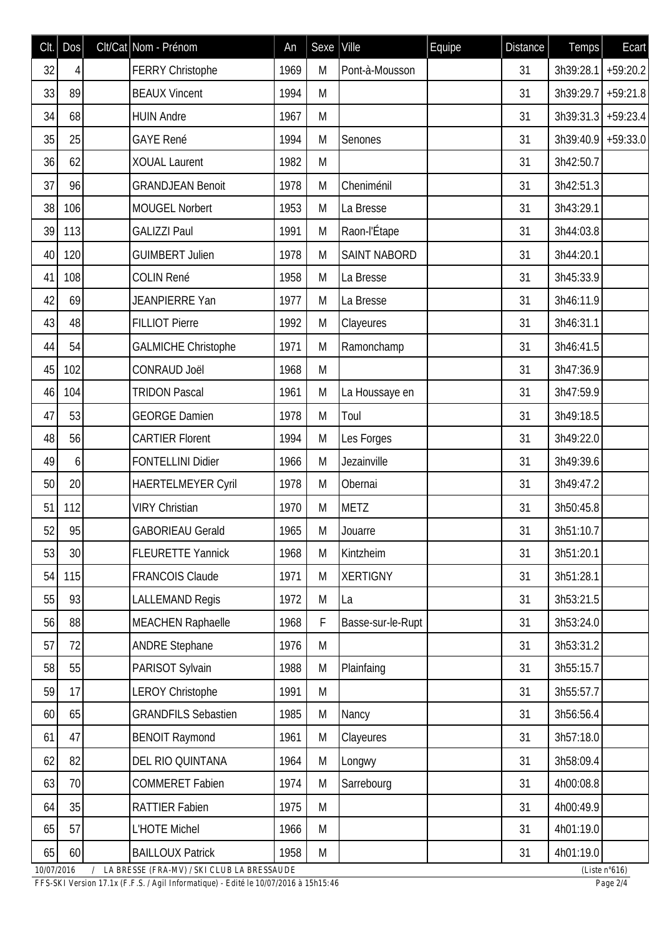| Clt.       | Dos |   | Clt/Cat Nom - Prénom                       | An   | Sexe | Ville               | Equipe | <b>Distance</b> | Temps                | Ecart                   |
|------------|-----|---|--------------------------------------------|------|------|---------------------|--------|-----------------|----------------------|-------------------------|
| 32         | 4   |   | <b>FERRY Christophe</b>                    | 1969 | M    | Pont-à-Mousson      |        | 31              | 3h39:28.1            | $+59:20.2$              |
| 33         | 89  |   | <b>BEAUX Vincent</b>                       | 1994 | M    |                     |        | 31              | 3h39:29.7            | $+59:21.8$              |
| 34         | 68  |   | <b>HUIN Andre</b>                          | 1967 | M    |                     |        | 31              | $3h39:31.3$ +59:23.4 |                         |
| 35         | 25  |   | <b>GAYE René</b>                           | 1994 | M    | Senones             |        | 31              | 3h39:40.9 +59:33.0   |                         |
| 36         | 62  |   | <b>XOUAL Laurent</b>                       | 1982 | M    |                     |        | 31              | 3h42:50.7            |                         |
| 37         | 96  |   | <b>GRANDJEAN Benoit</b>                    | 1978 | M    | Cheniménil          |        | 31              | 3h42:51.3            |                         |
| 38         | 106 |   | <b>MOUGEL Norbert</b>                      | 1953 | M    | La Bresse           |        | 31              | 3h43:29.1            |                         |
| 39         | 113 |   | <b>GALIZZI Paul</b>                        | 1991 | M    | Raon-l'Étape        |        | 31              | 3h44:03.8            |                         |
| 40         | 120 |   | <b>GUIMBERT Julien</b>                     | 1978 | M    | <b>SAINT NABORD</b> |        | 31              | 3h44:20.1            |                         |
| 41         | 108 |   | <b>COLIN René</b>                          | 1958 | M    | La Bresse           |        | 31              | 3h45:33.9            |                         |
| 42         | 69  |   | JEANPIERRE Yan                             | 1977 | M    | La Bresse           |        | 31              | 3h46:11.9            |                         |
| 43         | 48  |   | <b>FILLIOT Pierre</b>                      | 1992 | M    | Clayeures           |        | 31              | 3h46:31.1            |                         |
| 44         | 54  |   | <b>GALMICHE Christophe</b>                 | 1971 | M    | Ramonchamp          |        | 31              | 3h46:41.5            |                         |
| 45         | 102 |   | <b>CONRAUD Joël</b>                        | 1968 | M    |                     |        | 31              | 3h47:36.9            |                         |
| 46         | 104 |   | <b>TRIDON Pascal</b>                       | 1961 | M    | La Houssaye en      |        | 31              | 3h47:59.9            |                         |
| 47         | 53  |   | <b>GEORGE Damien</b>                       | 1978 | M    | Toul                |        | 31              | 3h49:18.5            |                         |
| 48         | 56  |   | <b>CARTIER Florent</b>                     | 1994 | M    | Les Forges          |        | 31              | 3h49:22.0            |                         |
| 49         | 6   |   | <b>FONTELLINI Didier</b>                   | 1966 | M    | Jezainville         |        | 31              | 3h49:39.6            |                         |
| 50         | 20  |   | <b>HAERTELMEYER Cyril</b>                  | 1978 | M    | Obernai             |        | 31              | 3h49:47.2            |                         |
| 51         | 112 |   | <b>VIRY Christian</b>                      | 1970 | M    | <b>METZ</b>         |        | 31              | 3h50:45.8            |                         |
| 52         | 95  |   | <b>GABORIEAU Gerald</b>                    | 1965 | M    | Jouarre             |        | 31              | 3h51:10.7            |                         |
| 53         | 30  |   | <b>FLEURETTE Yannick</b>                   | 1968 | M    | Kintzheim           |        | 31              | 3h51:20.1            |                         |
| 54         | 115 |   | <b>FRANCOIS Claude</b>                     | 1971 | M    | <b>XERTIGNY</b>     |        | 31              | 3h51:28.1            |                         |
| 55         | 93  |   | <b>LALLEMAND Regis</b>                     | 1972 | M    | La                  |        | 31              | 3h53:21.5            |                         |
| 56         | 88  |   | <b>MEACHEN Raphaelle</b>                   | 1968 | F    | Basse-sur-le-Rupt   |        | 31              | 3h53:24.0            |                         |
| 57         | 72  |   | <b>ANDRE Stephane</b>                      | 1976 | M    |                     |        | 31              | 3h53:31.2            |                         |
| 58         | 55  |   | PARISOT Sylvain                            | 1988 | M    | Plainfaing          |        | 31              | 3h55:15.7            |                         |
| 59         | 17  |   | <b>LEROY Christophe</b>                    | 1991 | M    |                     |        | 31              | 3h55:57.7            |                         |
| 60         | 65  |   | <b>GRANDFILS Sebastien</b>                 | 1985 | M    | Nancy               |        | 31              | 3h56:56.4            |                         |
| 61         | 47  |   | <b>BENOIT Raymond</b>                      | 1961 | M    | Clayeures           |        | 31              | 3h57:18.0            |                         |
| 62         | 82  |   | DEL RIO QUINTANA                           | 1964 | M    | Longwy              |        | 31              | 3h58:09.4            |                         |
| 63         | 70  |   | <b>COMMERET Fabien</b>                     | 1974 | M    | Sarrebourg          |        | 31              | 4h00:08.8            |                         |
| 64         | 35  |   | <b>RATTIER Fabien</b>                      | 1975 | M    |                     |        | 31              | 4h00:49.9            |                         |
| 65         | 57  |   | L'HOTE Michel                              | 1966 | M    |                     |        | 31              | 4h01:19.0            |                         |
| 65         | 60  |   | <b>BAILLOUX Patrick</b>                    | 1958 | M    |                     |        | 31              | 4h01:19.0            |                         |
| 10/07/2016 |     | 7 | LA BRESSE (FRA-MV) / SKI CLUB LA BRESSAUDE |      |      |                     |        |                 |                      | (Liste $n^{\circ}616$ ) |

*FFS-SKI Version 17.1x (F.F.S. / Agil Informatique) - Edité le 10/07/2016 à 15h15:46 Page 2/4*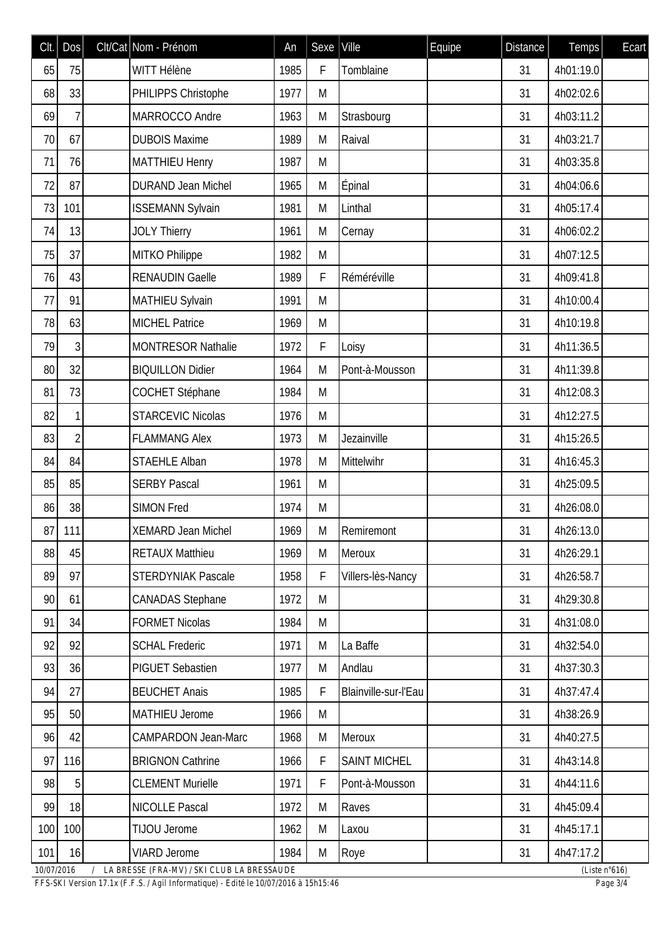| Clt. | Dos            | Clt/Cat Nom - Prénom       | An   | Sexe | Ville                | Equipe | <b>Distance</b> | Temps     | Ecart |
|------|----------------|----------------------------|------|------|----------------------|--------|-----------------|-----------|-------|
| 65   | 75             | WITT Hélène                | 1985 | F    | Tomblaine            |        | 31              | 4h01:19.0 |       |
| 68   | 33             | PHILIPPS Christophe        | 1977 | M    |                      |        | 31              | 4h02:02.6 |       |
| 69   | 7              | MARROCCO Andre             | 1963 | M    | Strasbourg           |        | 31              | 4h03:11.2 |       |
| 70   | 67             | <b>DUBOIS Maxime</b>       | 1989 | M    | Raival               |        | 31              | 4h03:21.7 |       |
| 71   | 76             | <b>MATTHIEU Henry</b>      | 1987 | M    |                      |        | 31              | 4h03:35.8 |       |
| 72   | 87             | <b>DURAND Jean Michel</b>  | 1965 | M    | Épinal               |        | 31              | 4h04:06.6 |       |
| 73   | 101            | <b>ISSEMANN Sylvain</b>    | 1981 | M    | Linthal              |        | 31              | 4h05:17.4 |       |
| 74   | 13             | <b>JOLY Thierry</b>        | 1961 | M    | Cernay               |        | 31              | 4h06:02.2 |       |
| 75   | 37             | MITKO Philippe             | 1982 | M    |                      |        | 31              | 4h07:12.5 |       |
| 76   | 43             | <b>RENAUDIN Gaelle</b>     | 1989 | F    | Réméréville          |        | 31              | 4h09:41.8 |       |
| 77   | 91             | MATHIEU Sylvain            | 1991 | M    |                      |        | 31              | 4h10:00.4 |       |
| 78   | 63             | <b>MICHEL Patrice</b>      | 1969 | M    |                      |        | 31              | 4h10:19.8 |       |
| 79   | 3              | <b>MONTRESOR Nathalie</b>  | 1972 | F    | Loisy                |        | 31              | 4h11:36.5 |       |
| 80   | 32             | <b>BIQUILLON Didier</b>    | 1964 | M    | Pont-à-Mousson       |        | 31              | 4h11:39.8 |       |
| 81   | 73             | <b>COCHET Stéphane</b>     | 1984 | M    |                      |        | 31              | 4h12:08.3 |       |
| 82   | 1              | <b>STARCEVIC Nicolas</b>   | 1976 | M    |                      |        | 31              | 4h12:27.5 |       |
| 83   | $\overline{2}$ | <b>FLAMMANG Alex</b>       | 1973 | M    | Jezainville          |        | 31              | 4h15:26.5 |       |
| 84   | 84             | <b>STAEHLE Alban</b>       | 1978 | M    | Mittelwihr           |        | 31              | 4h16:45.3 |       |
| 85   | 85             | <b>SERBY Pascal</b>        | 1961 | M    |                      |        | 31              | 4h25:09.5 |       |
| 86   | 38             | <b>SIMON Fred</b>          | 1974 | M    |                      |        | 31              | 4h26:08.0 |       |
| 87   | 111            | <b>XEMARD Jean Michel</b>  | 1969 | M    | Remiremont           |        | 31              | 4h26:13.0 |       |
| 88   | 45             | <b>RETAUX Matthieu</b>     | 1969 | M    | Meroux               |        | 31              | 4h26:29.1 |       |
| 89   | 97             | <b>STERDYNIAK Pascale</b>  | 1958 | F    | Villers-lès-Nancy    |        | 31              | 4h26:58.7 |       |
| 90   | 61             | <b>CANADAS Stephane</b>    | 1972 | M    |                      |        | 31              | 4h29:30.8 |       |
| 91   | 34             | <b>FORMET Nicolas</b>      | 1984 | M    |                      |        | 31              | 4h31:08.0 |       |
| 92   | 92             | <b>SCHAL Frederic</b>      | 1971 | M    | La Baffe             |        | 31              | 4h32:54.0 |       |
| 93   | 36             | <b>PIGUET Sebastien</b>    | 1977 | M    | Andlau               |        | 31              | 4h37:30.3 |       |
| 94   | 27             | <b>BEUCHET Anais</b>       | 1985 | F    | Blainville-sur-l'Eau |        | 31              | 4h37:47.4 |       |
| 95   | 50             | <b>MATHIEU Jerome</b>      | 1966 | M    |                      |        | 31              | 4h38:26.9 |       |
| 96   | 42             | <b>CAMPARDON Jean-Marc</b> | 1968 | M    | Meroux               |        | 31              | 4h40:27.5 |       |
| 97   | 116            | <b>BRIGNON Cathrine</b>    | 1966 | F    | <b>SAINT MICHEL</b>  |        | 31              | 4h43:14.8 |       |
| 98   | 5              | <b>CLEMENT Murielle</b>    | 1971 | F    | Pont-à-Mousson       |        | 31              | 4h44:11.6 |       |
| 99   | 18             | <b>NICOLLE Pascal</b>      | 1972 | M    | Raves                |        | 31              | 4h45:09.4 |       |
| 100  | 100            | TIJOU Jerome               | 1962 | M    | Laxou                |        | 31              | 4h45:17.1 |       |
| 101  | 16             | <b>VIARD Jerome</b>        | 1984 | M    | Roye                 |        | 31              | 4h47:17.2 |       |

*10/07/2016 / LA BRESSE (FRA-MV) / SKI CLUB LA BRESSAUDE (Liste n°616)*

*FFS-SKI Version 17.1x (F.F.S. / Agil Informatique) - Edité le 10/07/2016 à 15h15:46 Page 3/4*